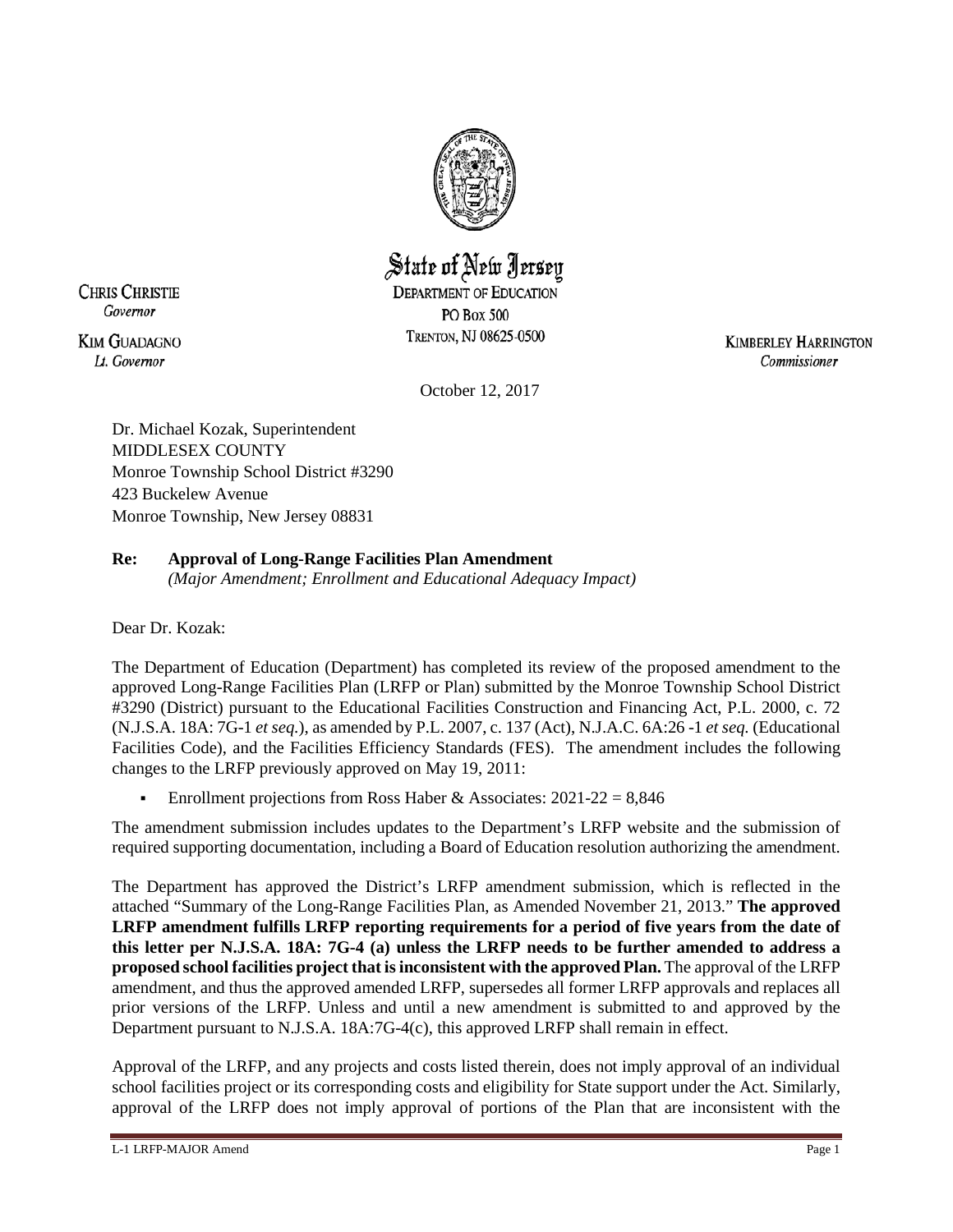

# State of New Jersey **DEPARTMENT OF EDUCATION PO Box 500**

TRENTON, NJ 08625-0500

**KIM GUADAGNO** Lt. Governor

**CHRIS CHRISTIE** Governor

> **KIMBERLEY HARRINGTON** Commissioner

October 12, 2017

Dr. Michael Kozak, Superintendent MIDDLESEX COUNTY Monroe Township School District #3290 423 Buckelew Avenue Monroe Township, New Jersey 08831

# **Re: Approval of Long-Range Facilities Plan Amendment**

*(Major Amendment; Enrollment and Educational Adequacy Impact)*

Dear Dr. Kozak:

The Department of Education (Department) has completed its review of the proposed amendment to the approved Long-Range Facilities Plan (LRFP or Plan) submitted by the Monroe Township School District #3290 (District) pursuant to the Educational Facilities Construction and Financing Act, P.L. 2000, c. 72 (N.J.S.A. 18A: 7G-1 *et seq.*), as amended by P.L. 2007, c. 137 (Act), N.J.A.C. 6A:26 -1 *et seq.* (Educational Facilities Code), and the Facilities Efficiency Standards (FES). The amendment includes the following changes to the LRFP previously approved on May 19, 2011:

Enrollment projections from Ross Haber & Associates:  $2021-22 = 8,846$ 

The amendment submission includes updates to the Department's LRFP website and the submission of required supporting documentation, including a Board of Education resolution authorizing the amendment.

The Department has approved the District's LRFP amendment submission, which is reflected in the attached "Summary of the Long-Range Facilities Plan, as Amended November 21, 2013." **The approved LRFP amendment fulfills LRFP reporting requirements for a period of five years from the date of this letter per N.J.S.A. 18A: 7G-4 (a) unless the LRFP needs to be further amended to address a proposed school facilities project that is inconsistent with the approved Plan.** The approval of the LRFP amendment, and thus the approved amended LRFP, supersedes all former LRFP approvals and replaces all prior versions of the LRFP. Unless and until a new amendment is submitted to and approved by the Department pursuant to N.J.S.A. 18A:7G-4(c), this approved LRFP shall remain in effect.

Approval of the LRFP, and any projects and costs listed therein, does not imply approval of an individual school facilities project or its corresponding costs and eligibility for State support under the Act. Similarly, approval of the LRFP does not imply approval of portions of the Plan that are inconsistent with the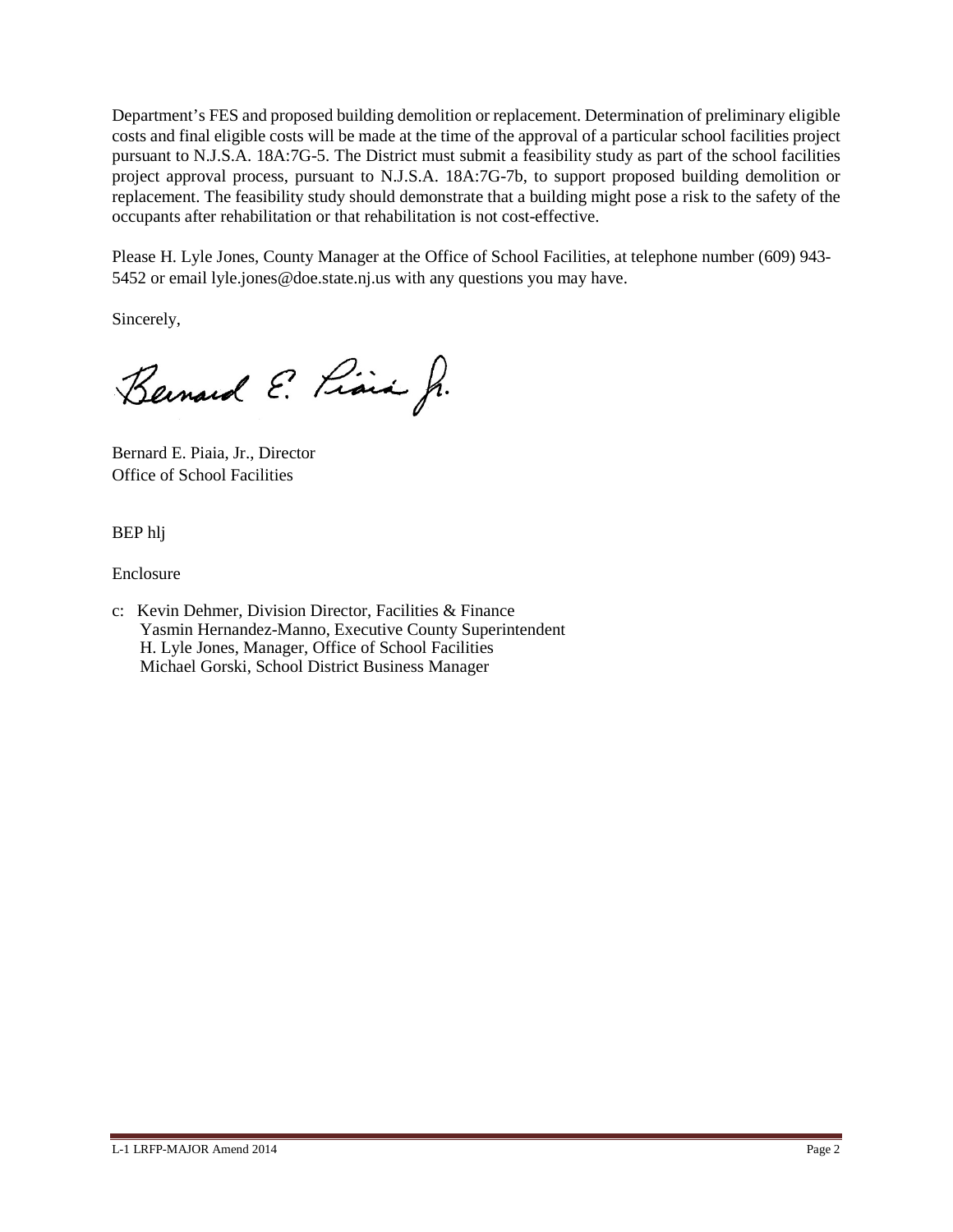Department's FES and proposed building demolition or replacement. Determination of preliminary eligible costs and final eligible costs will be made at the time of the approval of a particular school facilities project pursuant to N.J.S.A. 18A:7G-5. The District must submit a feasibility study as part of the school facilities project approval process, pursuant to N.J.S.A. 18A:7G-7b, to support proposed building demolition or replacement. The feasibility study should demonstrate that a building might pose a risk to the safety of the occupants after rehabilitation or that rehabilitation is not cost-effective.

Please H. Lyle Jones, County Manager at the Office of School Facilities, at telephone number (609) 943- 5452 or email lyle.jones@doe.state.nj.us with any questions you may have.

Sincerely,

Bernard E. Piara Jr.

Bernard E. Piaia, Jr., Director Office of School Facilities

BEP hlj

Enclosure

c: Kevin Dehmer, Division Director, Facilities & Finance Yasmin Hernandez-Manno, Executive County Superintendent H. Lyle Jones, Manager, Office of School Facilities Michael Gorski, School District Business Manager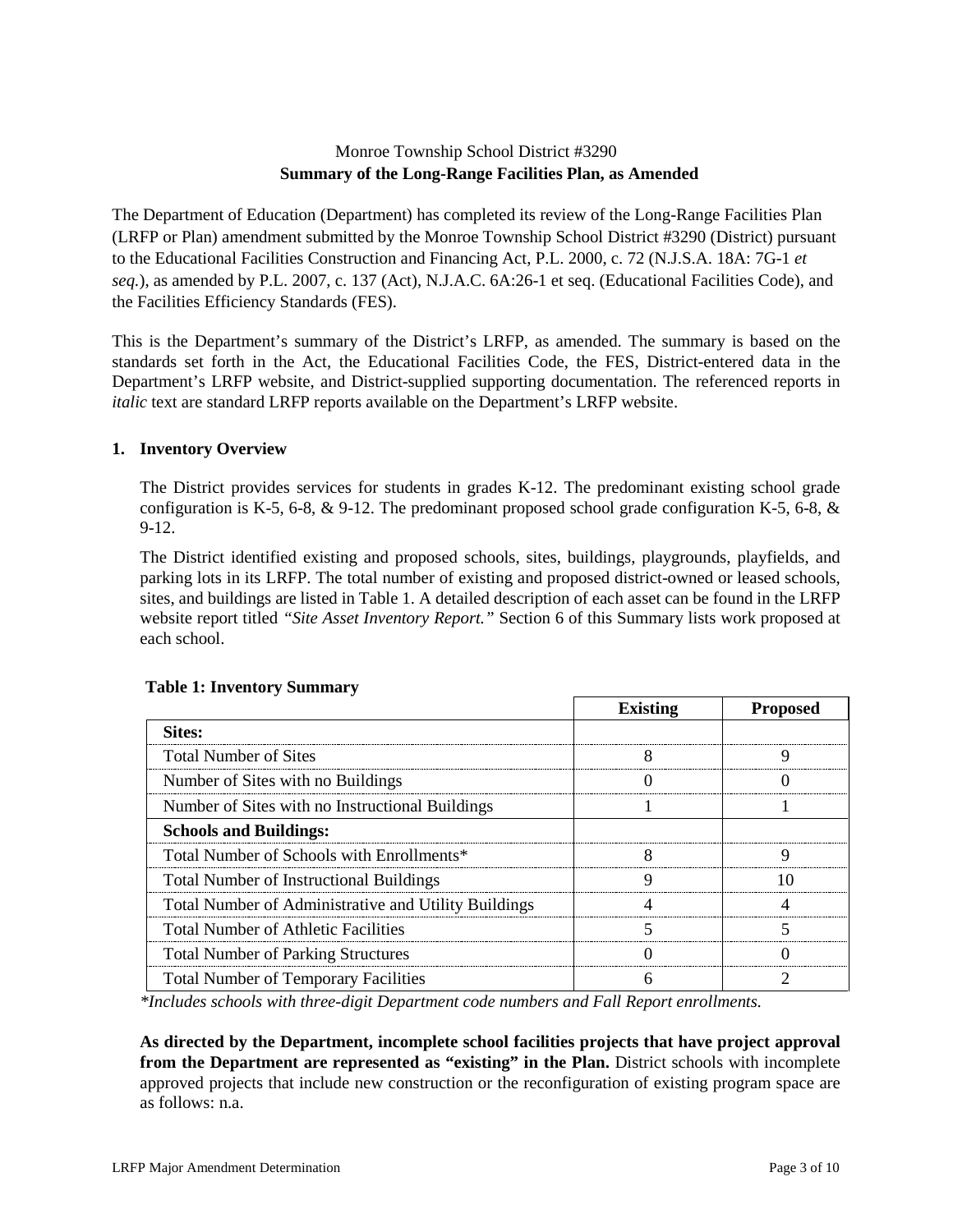# Monroe Township School District #3290 **Summary of the Long-Range Facilities Plan, as Amended**

The Department of Education (Department) has completed its review of the Long-Range Facilities Plan (LRFP or Plan) amendment submitted by the Monroe Township School District #3290 (District) pursuant to the Educational Facilities Construction and Financing Act, P.L. 2000, c. 72 (N.J.S.A. 18A: 7G-1 *et seq.*), as amended by P.L. 2007, c. 137 (Act), N.J.A.C. 6A:26-1 et seq. (Educational Facilities Code), and the Facilities Efficiency Standards (FES).

This is the Department's summary of the District's LRFP, as amended. The summary is based on the standards set forth in the Act, the Educational Facilities Code, the FES, District-entered data in the Department's LRFP website, and District-supplied supporting documentation. The referenced reports in *italic* text are standard LRFP reports available on the Department's LRFP website.

## **1. Inventory Overview**

The District provides services for students in grades K-12. The predominant existing school grade configuration is K-5, 6-8,  $\&$  9-12. The predominant proposed school grade configuration K-5, 6-8,  $\&$ 9-12.

The District identified existing and proposed schools, sites, buildings, playgrounds, playfields, and parking lots in its LRFP. The total number of existing and proposed district-owned or leased schools, sites, and buildings are listed in Table 1. A detailed description of each asset can be found in the LRFP website report titled *"Site Asset Inventory Report."* Section 6 of this Summary lists work proposed at each school.

|                                                      | <b>Existing</b> | <b>Proposed</b> |
|------------------------------------------------------|-----------------|-----------------|
| <b>Sites:</b>                                        |                 |                 |
| <b>Total Number of Sites</b>                         |                 |                 |
| Number of Sites with no Buildings                    |                 |                 |
| Number of Sites with no Instructional Buildings      |                 |                 |
| <b>Schools and Buildings:</b>                        |                 |                 |
| Total Number of Schools with Enrollments*            |                 |                 |
| <b>Total Number of Instructional Buildings</b>       |                 |                 |
| Total Number of Administrative and Utility Buildings |                 |                 |
| <b>Total Number of Athletic Facilities</b>           |                 |                 |
| <b>Total Number of Parking Structures</b>            |                 |                 |
| <b>Total Number of Temporary Facilities</b>          |                 |                 |

## **Table 1: Inventory Summary**

*\*Includes schools with three-digit Department code numbers and Fall Report enrollments.*

**As directed by the Department, incomplete school facilities projects that have project approval from the Department are represented as "existing" in the Plan.** District schools with incomplete approved projects that include new construction or the reconfiguration of existing program space are as follows: n.a.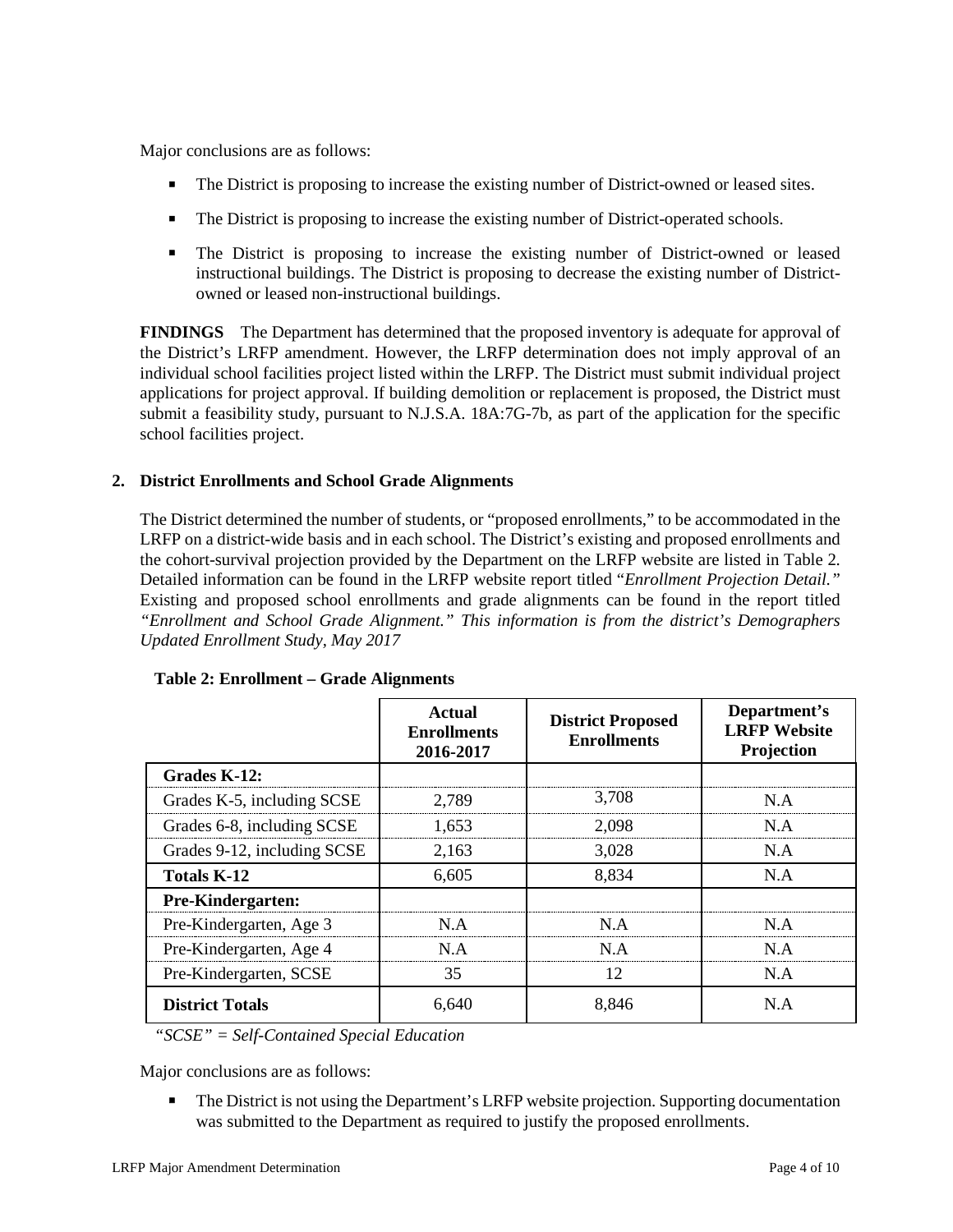Major conclusions are as follows:

- The District is proposing to increase the existing number of District-owned or leased sites.
- The District is proposing to increase the existing number of District-operated schools.
- The District is proposing to increase the existing number of District-owned or leased instructional buildings. The District is proposing to decrease the existing number of Districtowned or leased non-instructional buildings.

**FINDINGS** The Department has determined that the proposed inventory is adequate for approval of the District's LRFP amendment. However, the LRFP determination does not imply approval of an individual school facilities project listed within the LRFP. The District must submit individual project applications for project approval. If building demolition or replacement is proposed, the District must submit a feasibility study, pursuant to N.J.S.A. 18A:7G-7b, as part of the application for the specific school facilities project.

## **2. District Enrollments and School Grade Alignments**

The District determined the number of students, or "proposed enrollments," to be accommodated in the LRFP on a district-wide basis and in each school. The District's existing and proposed enrollments and the cohort-survival projection provided by the Department on the LRFP website are listed in Table 2. Detailed information can be found in the LRFP website report titled "*Enrollment Projection Detail."*  Existing and proposed school enrollments and grade alignments can be found in the report titled *"Enrollment and School Grade Alignment." This information is from the district's Demographers Updated Enrollment Study, May 2017*

|                             | Actual<br><b>Enrollments</b><br>2016-2017 | <b>District Proposed</b><br><b>Enrollments</b> | Department's<br><b>LRFP</b> Website<br>Projection |
|-----------------------------|-------------------------------------------|------------------------------------------------|---------------------------------------------------|
| Grades K-12:                |                                           |                                                |                                                   |
| Grades K-5, including SCSE  | 2.789                                     | 3.708                                          | N A                                               |
| Grades 6-8, including SCSE  | 1,653                                     | 2.098                                          | N.A                                               |
| Grades 9-12, including SCSE | 2.163                                     | 3.028                                          | N.A                                               |
| Totals K-12                 | 6,605                                     | 8,834                                          | N.A                                               |
| <b>Pre-Kindergarten:</b>    |                                           |                                                |                                                   |
| Pre-Kindergarten, Age 3     | N A                                       | N A                                            | N A                                               |
| Pre-Kindergarten, Age 4     | N.A                                       | N.A                                            | N A                                               |
| Pre-Kindergarten, SCSE      | 35                                        | 12                                             | N.A                                               |
| <b>District Totals</b>      | 6,640                                     | 8,846                                          | N.A                                               |

|  | Table 2: Enrollment – Grade Alignments |  |  |
|--|----------------------------------------|--|--|
|--|----------------------------------------|--|--|

*"SCSE" = Self-Contained Special Education*

Major conclusions are as follows:

 The District is not using the Department's LRFP website projection. Supporting documentation was submitted to the Department as required to justify the proposed enrollments.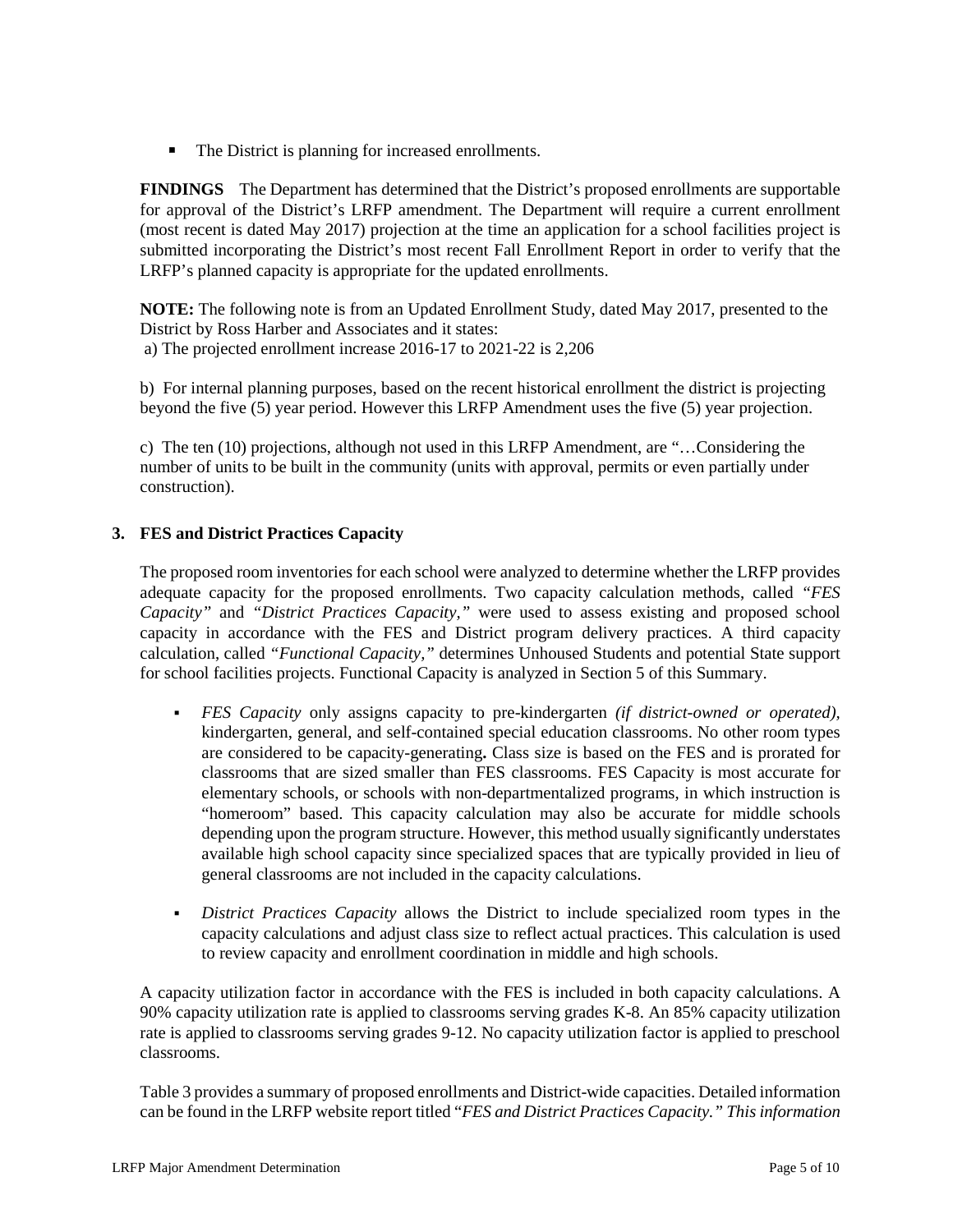■ The District is planning for increased enrollments.

**FINDINGS** The Department has determined that the District's proposed enrollments are supportable for approval of the District's LRFP amendment. The Department will require a current enrollment (most recent is dated May 2017) projection at the time an application for a school facilities project is submitted incorporating the District's most recent Fall Enrollment Report in order to verify that the LRFP's planned capacity is appropriate for the updated enrollments.

**NOTE:** The following note is from an Updated Enrollment Study, dated May 2017, presented to the District by Ross Harber and Associates and it states: a) The projected enrollment increase 2016-17 to 2021-22 is 2,206

b) For internal planning purposes, based on the recent historical enrollment the district is projecting beyond the five (5) year period. However this LRFP Amendment uses the five (5) year projection.

c) The ten (10) projections, although not used in this LRFP Amendment, are "…Considering the number of units to be built in the community (units with approval, permits or even partially under construction).

# **3. FES and District Practices Capacity**

The proposed room inventories for each school were analyzed to determine whether the LRFP provides adequate capacity for the proposed enrollments. Two capacity calculation methods, called *"FES Capacity"* and *"District Practices Capacity,"* were used to assess existing and proposed school capacity in accordance with the FES and District program delivery practices. A third capacity calculation, called *"Functional Capacity,"* determines Unhoused Students and potential State support for school facilities projects. Functional Capacity is analyzed in Section 5 of this Summary.

- *FES Capacity* only assigns capacity to pre-kindergarten *(if district-owned or operated),* kindergarten, general, and self-contained special education classrooms. No other room types are considered to be capacity-generating**.** Class size is based on the FES and is prorated for classrooms that are sized smaller than FES classrooms. FES Capacity is most accurate for elementary schools, or schools with non-departmentalized programs, in which instruction is "homeroom" based. This capacity calculation may also be accurate for middle schools depending upon the program structure. However, this method usually significantly understates available high school capacity since specialized spaces that are typically provided in lieu of general classrooms are not included in the capacity calculations.
- *District Practices Capacity* allows the District to include specialized room types in the capacity calculations and adjust class size to reflect actual practices. This calculation is used to review capacity and enrollment coordination in middle and high schools.

A capacity utilization factor in accordance with the FES is included in both capacity calculations. A 90% capacity utilization rate is applied to classrooms serving grades K-8. An 85% capacity utilization rate is applied to classrooms serving grades 9-12. No capacity utilization factor is applied to preschool classrooms.

Table 3 provides a summary of proposed enrollments and District-wide capacities. Detailed information can be found in the LRFP website report titled "*FES and District Practices Capacity." This information*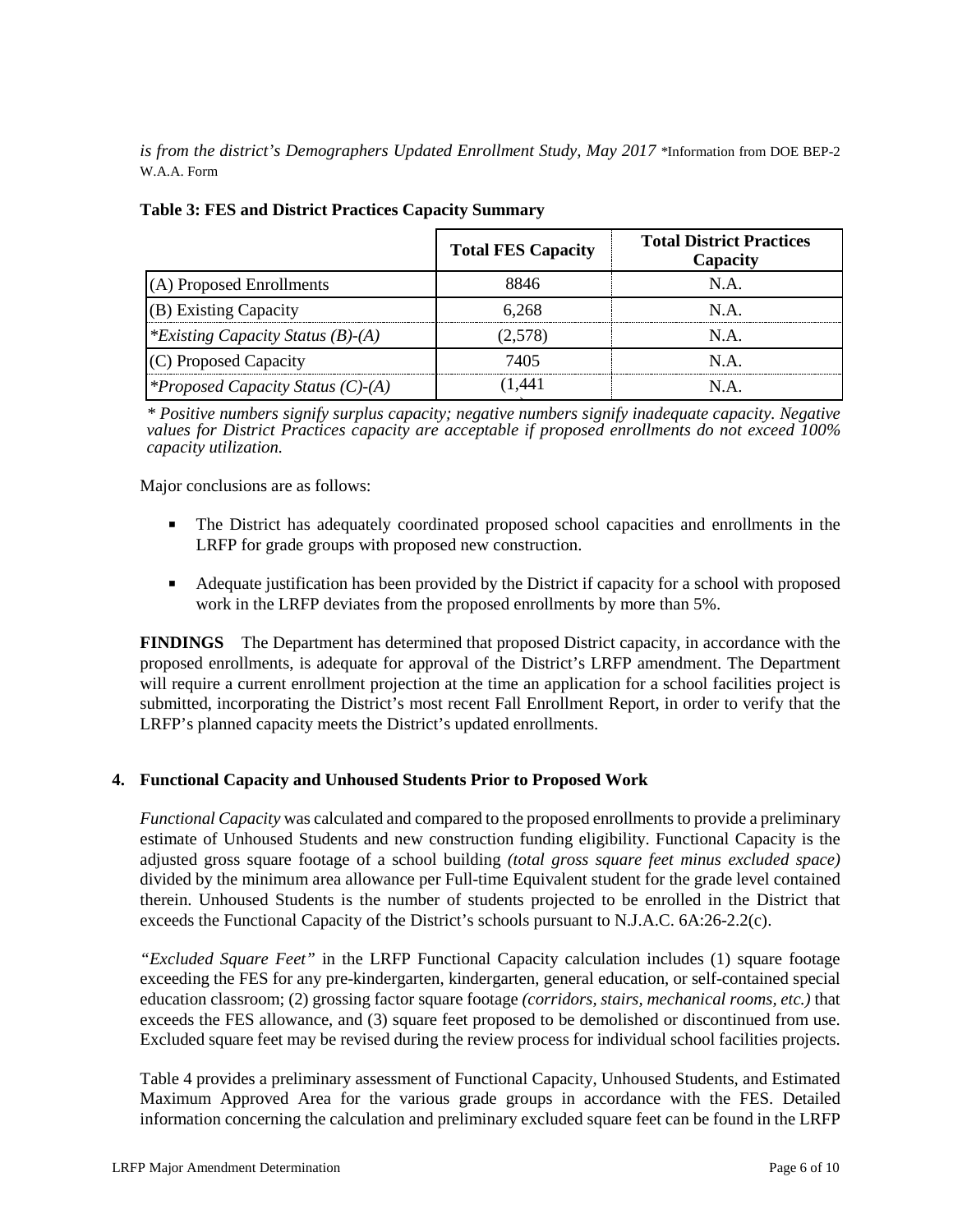*is from the district's Demographers Updated Enrollment Study, May 2017* \*Information from DOE BEP-2 W.A.A. Form

|                                          | <b>Total FES Capacity</b> | <b>Total District Practices</b><br>Capacity |
|------------------------------------------|---------------------------|---------------------------------------------|
| (A) Proposed Enrollments                 | 8846                      | N.A.                                        |
| (B) Existing Capacity                    | 6.268                     | N A                                         |
| *Existing Capacity Status (B)-(A)        | (2.578)                   | N.A.                                        |
| (C) Proposed Capacity                    | 7405                      | N A                                         |
| <i>*Proposed Capacity Status (C)-(A)</i> | l.441                     | NА                                          |

# **Table 3: FES and District Practices Capacity Summary**

) *\* Positive numbers signify surplus capacity; negative numbers signify inadequate capacity. Negative values for District Practices capacity are acceptable if proposed enrollments do not exceed 100% capacity utilization.*

Major conclusions are as follows:

- The District has adequately coordinated proposed school capacities and enrollments in the LRFP for grade groups with proposed new construction.
- Adequate justification has been provided by the District if capacity for a school with proposed work in the LRFP deviates from the proposed enrollments by more than 5%.

**FINDINGS** The Department has determined that proposed District capacity, in accordance with the proposed enrollments, is adequate for approval of the District's LRFP amendment. The Department will require a current enrollment projection at the time an application for a school facilities project is submitted, incorporating the District's most recent Fall Enrollment Report, in order to verify that the LRFP's planned capacity meets the District's updated enrollments.

## **4. Functional Capacity and Unhoused Students Prior to Proposed Work**

*Functional Capacity* was calculated and compared to the proposed enrollments to provide a preliminary estimate of Unhoused Students and new construction funding eligibility. Functional Capacity is the adjusted gross square footage of a school building *(total gross square feet minus excluded space)*  divided by the minimum area allowance per Full-time Equivalent student for the grade level contained therein. Unhoused Students is the number of students projected to be enrolled in the District that exceeds the Functional Capacity of the District's schools pursuant to N.J.A.C. 6A:26-2.2(c).

*"Excluded Square Feet"* in the LRFP Functional Capacity calculation includes (1) square footage exceeding the FES for any pre-kindergarten, kindergarten, general education, or self-contained special education classroom; (2) grossing factor square footage *(corridors, stairs, mechanical rooms, etc.)* that exceeds the FES allowance, and (3) square feet proposed to be demolished or discontinued from use. Excluded square feet may be revised during the review process for individual school facilities projects.

Table 4 provides a preliminary assessment of Functional Capacity, Unhoused Students, and Estimated Maximum Approved Area for the various grade groups in accordance with the FES. Detailed information concerning the calculation and preliminary excluded square feet can be found in the LRFP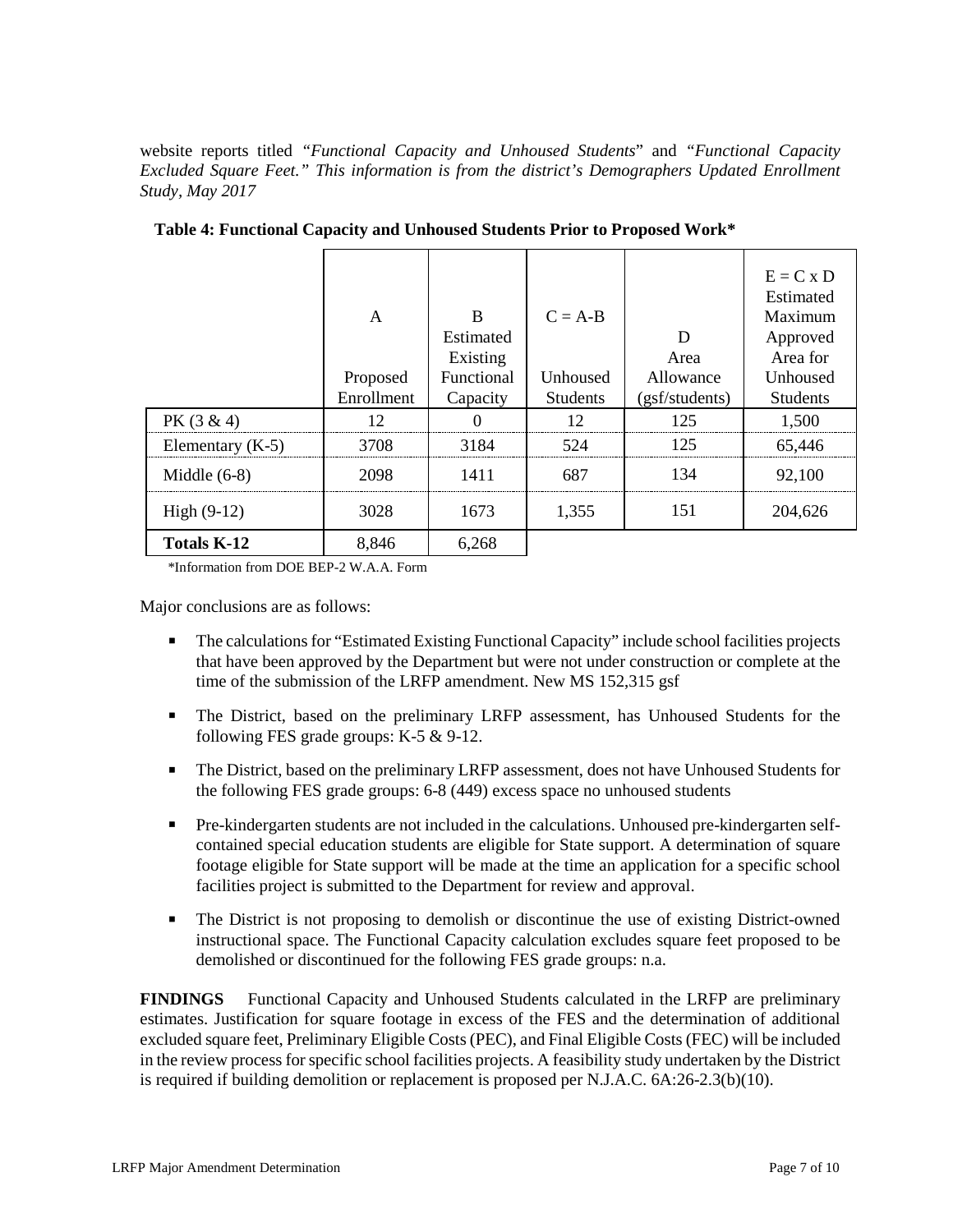website reports titled *"Functional Capacity and Unhoused Students*" and *"Functional Capacity Excluded Square Feet." This information is from the district's Demographers Updated Enrollment Study, May 2017*

|                    | A<br>Proposed<br>Enrollment | B<br>Estimated<br>Existing<br>Functional<br>Capacity | $C = A-B$<br>Unhoused<br><b>Students</b> | D<br>Area<br>Allowance<br>(gsf/students) | $E = C x D$<br>Estimated<br>Maximum<br>Approved<br>Area for<br>Unhoused<br><b>Students</b> |
|--------------------|-----------------------------|------------------------------------------------------|------------------------------------------|------------------------------------------|--------------------------------------------------------------------------------------------|
| $PK(3 \& 4)$       | 12                          |                                                      | 12                                       | 125                                      | 1,500                                                                                      |
| Elementary $(K-5)$ | 3708                        | 3184                                                 | 524                                      | 125                                      | 65,446                                                                                     |
| Middle $(6-8)$     | 2098                        | 1411                                                 | 687                                      | 134                                      | 92,100                                                                                     |
| High $(9-12)$      | 3028                        | 1673                                                 | 1,355                                    | 151                                      | 204,626                                                                                    |
| <b>Totals K-12</b> | 8,846                       | 6,268                                                |                                          |                                          |                                                                                            |

**Table 4: Functional Capacity and Unhoused Students Prior to Proposed Work\***

\*Information from DOE BEP-2 W.A.A. Form

Major conclusions are as follows:

- The calculations for "Estimated Existing Functional Capacity" include school facilities projects that have been approved by the Department but were not under construction or complete at the time of the submission of the LRFP amendment. New MS 152,315 gsf
- The District, based on the preliminary LRFP assessment, has Unhoused Students for the following FES grade groups: K-5 & 9-12.
- The District, based on the preliminary LRFP assessment, does not have Unhoused Students for the following FES grade groups: 6-8 (449) excess space no unhoused students
- Pre-kindergarten students are not included in the calculations. Unhoused pre-kindergarten selfcontained special education students are eligible for State support. A determination of square footage eligible for State support will be made at the time an application for a specific school facilities project is submitted to the Department for review and approval.
- The District is not proposing to demolish or discontinue the use of existing District-owned instructional space. The Functional Capacity calculation excludes square feet proposed to be demolished or discontinued for the following FES grade groups: n.a.

**FINDINGS** Functional Capacity and Unhoused Students calculated in the LRFP are preliminary estimates. Justification for square footage in excess of the FES and the determination of additional excluded square feet, Preliminary Eligible Costs (PEC), and Final Eligible Costs (FEC) will be included in the review process for specific school facilities projects. A feasibility study undertaken by the District is required if building demolition or replacement is proposed per N.J.A.C. 6A:26-2.3(b)(10).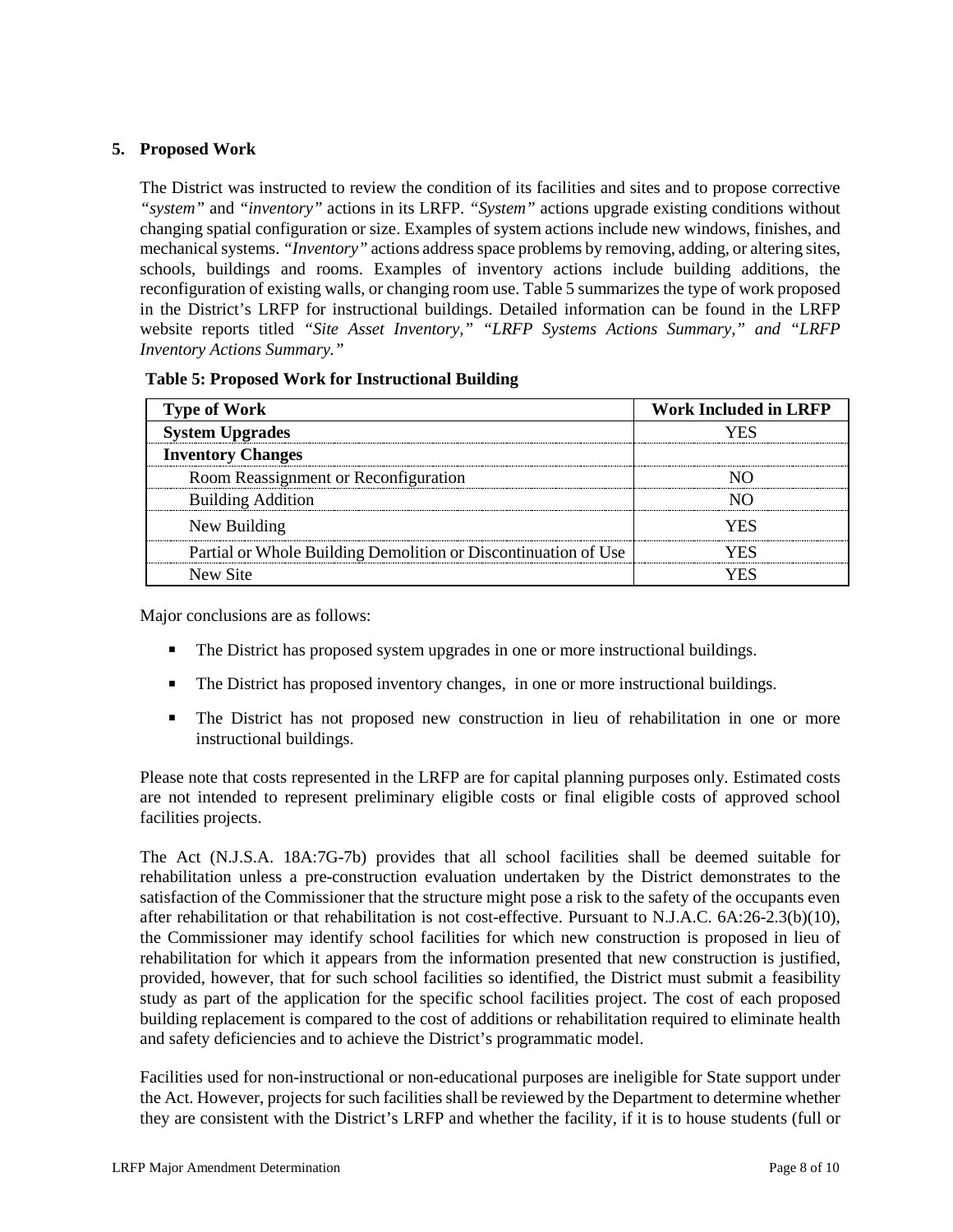# **5. Proposed Work**

The District was instructed to review the condition of its facilities and sites and to propose corrective *"system"* and *"inventory"* actions in its LRFP. *"System"* actions upgrade existing conditions without changing spatial configuration or size. Examples of system actions include new windows, finishes, and mechanical systems. *"Inventory"* actions address space problems by removing, adding, or altering sites, schools, buildings and rooms. Examples of inventory actions include building additions, the reconfiguration of existing walls, or changing room use. Table 5 summarizes the type of work proposed in the District's LRFP for instructional buildings. Detailed information can be found in the LRFP website reports titled *"Site Asset Inventory," "LRFP Systems Actions Summary," and "LRFP Inventory Actions Summary."* 

| <b>Type of Work</b>                                            | <b>Work Included in LRFP</b> |
|----------------------------------------------------------------|------------------------------|
| <b>System Upgrades</b>                                         |                              |
| <b>Inventory Changes</b>                                       |                              |
| Room Reassignment or Reconfiguration                           |                              |
| <b>Building Addition</b>                                       |                              |
| New Building                                                   | YFS                          |
| Partial or Whole Building Demolition or Discontinuation of Use | ∕F∾                          |
| New Site                                                       |                              |

Major conclusions are as follows:

- The District has proposed system upgrades in one or more instructional buildings.
- The District has proposed inventory changes, in one or more instructional buildings.
- The District has not proposed new construction in lieu of rehabilitation in one or more instructional buildings.

Please note that costs represented in the LRFP are for capital planning purposes only. Estimated costs are not intended to represent preliminary eligible costs or final eligible costs of approved school facilities projects.

The Act (N.J.S.A. 18A:7G-7b) provides that all school facilities shall be deemed suitable for rehabilitation unless a pre-construction evaluation undertaken by the District demonstrates to the satisfaction of the Commissioner that the structure might pose a risk to the safety of the occupants even after rehabilitation or that rehabilitation is not cost-effective. Pursuant to N.J.A.C. 6A:26-2.3(b)(10), the Commissioner may identify school facilities for which new construction is proposed in lieu of rehabilitation for which it appears from the information presented that new construction is justified, provided, however, that for such school facilities so identified, the District must submit a feasibility study as part of the application for the specific school facilities project. The cost of each proposed building replacement is compared to the cost of additions or rehabilitation required to eliminate health and safety deficiencies and to achieve the District's programmatic model.

Facilities used for non-instructional or non-educational purposes are ineligible for State support under the Act. However, projects for such facilities shall be reviewed by the Department to determine whether they are consistent with the District's LRFP and whether the facility, if it is to house students (full or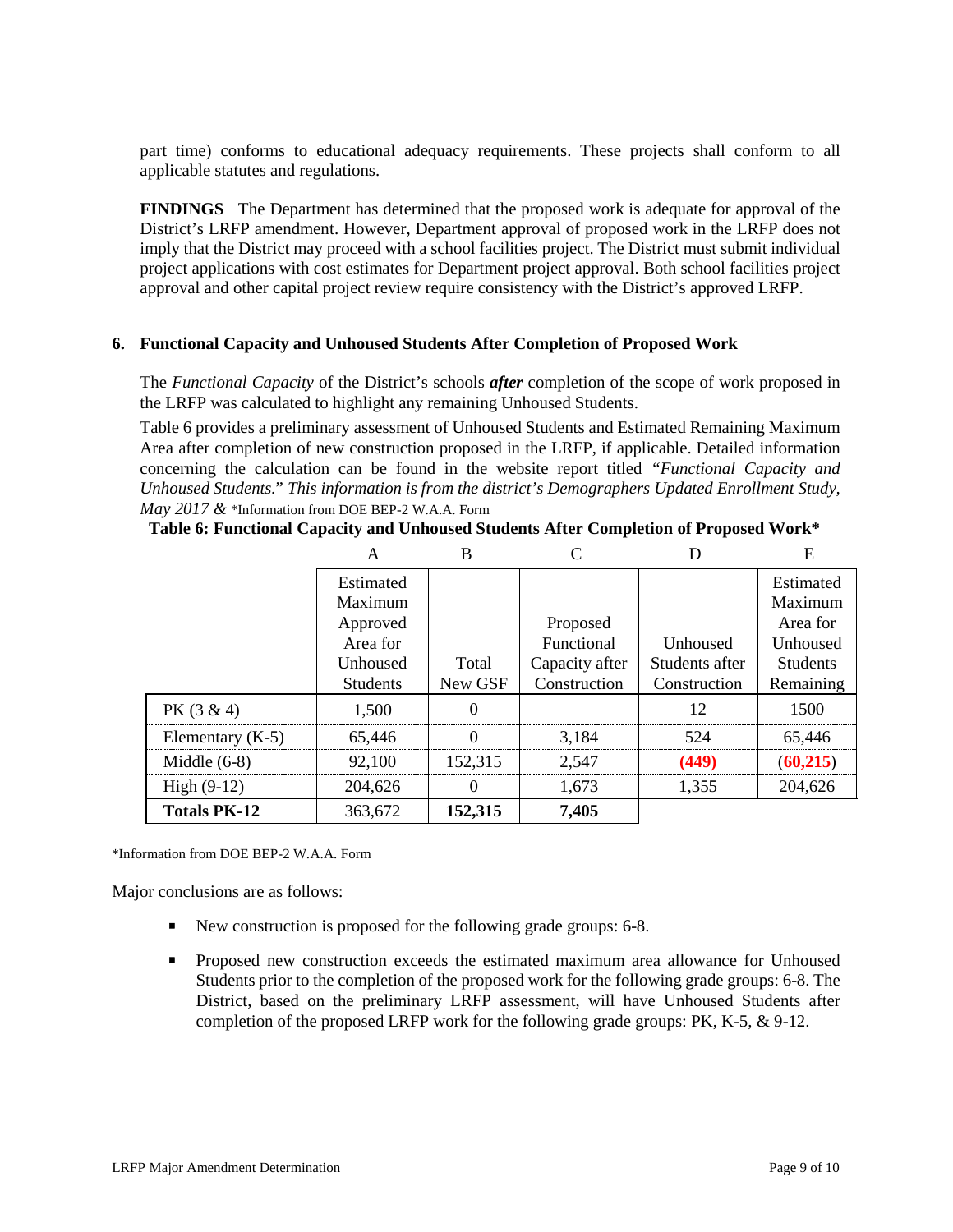part time) conforms to educational adequacy requirements. These projects shall conform to all applicable statutes and regulations.

**FINDINGS** The Department has determined that the proposed work is adequate for approval of the District's LRFP amendment. However, Department approval of proposed work in the LRFP does not imply that the District may proceed with a school facilities project. The District must submit individual project applications with cost estimates for Department project approval. Both school facilities project approval and other capital project review require consistency with the District's approved LRFP.

#### **6. Functional Capacity and Unhoused Students After Completion of Proposed Work**

The *Functional Capacity* of the District's schools *after* completion of the scope of work proposed in the LRFP was calculated to highlight any remaining Unhoused Students.

Table 6 provides a preliminary assessment of Unhoused Students and Estimated Remaining Maximum Area after completion of new construction proposed in the LRFP, if applicable. Detailed information concerning the calculation can be found in the website report titled *"Functional Capacity and Unhoused Students.*" *This information is from the district's Demographers Updated Enrollment Study, May 2017 &* \*Information from DOE BEP-2 W.A.A. Form

|                     |                 | B        |                |                | E               |
|---------------------|-----------------|----------|----------------|----------------|-----------------|
|                     | Estimated       |          |                |                | Estimated       |
|                     | Maximum         |          |                |                | Maximum         |
|                     | Approved        |          | Proposed       |                | Area for        |
|                     | Area for        |          | Functional     | Unhoused       | Unhoused        |
|                     | Unhoused        | Total    | Capacity after | Students after | <b>Students</b> |
|                     | <b>Students</b> | New GSF  | Construction   | Construction   | Remaining       |
| $PK(3 \& 4)$        | 1,500           | 0        |                | 12             | 1500            |
| Elementary $(K-5)$  | 65,446          | 0        | 3,184          | 524            | 65,446          |
| Middle $(6-8)$      | 92,100          | 152,315  | 2,547          | (449)          | (60,215)        |
| High $(9-12)$       | 204,626         | $\theta$ | 1.673          | 1,355          | 204,626         |
| <b>Totals PK-12</b> | 363,672         | 152,315  | 7,405          |                |                 |

\*Information from DOE BEP-2 W.A.A. Form

Major conclusions are as follows:

- New construction is proposed for the following grade groups: 6-8.
- Proposed new construction exceeds the estimated maximum area allowance for Unhoused Students prior to the completion of the proposed work for the following grade groups: 6-8. The District, based on the preliminary LRFP assessment, will have Unhoused Students after completion of the proposed LRFP work for the following grade groups: PK, K-5, & 9-12.